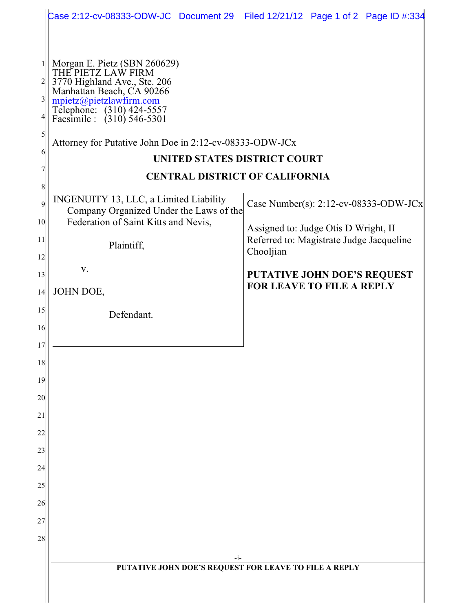|                                                                                                                                                                               | Case 2:12-cv-08333-ODW-JC Document 29 Filed 12/21/12 Page 1 of 2 Page ID #:334                                                                                                                                                                                                                                                                                                                                                                                                                                        |                                                                                                                                                                                                                     |
|-------------------------------------------------------------------------------------------------------------------------------------------------------------------------------|-----------------------------------------------------------------------------------------------------------------------------------------------------------------------------------------------------------------------------------------------------------------------------------------------------------------------------------------------------------------------------------------------------------------------------------------------------------------------------------------------------------------------|---------------------------------------------------------------------------------------------------------------------------------------------------------------------------------------------------------------------|
|                                                                                                                                                                               |                                                                                                                                                                                                                                                                                                                                                                                                                                                                                                                       |                                                                                                                                                                                                                     |
| $\overline{2}$<br>$\frac{3}{2}$<br>41<br>5<br>6<br>8<br>$\overline{9}$<br>10 <sup>1</sup><br>11<br>12<br>13<br>14<br>15<br>16<br>17<br>18<br>19<br>20<br>21<br>22<br>23<br>24 | Morgan E. Pietz (SBN 260629)<br>THE PIETZ LAW FIRM<br>3770 Highland Ave., Ste. 206<br>Manhattan Beach, CA 90266<br>mpietz@pietzlawfirm.com<br>Telephone: (310) 424-5557<br>Facsimile : (310) 546-5301<br>Attorney for Putative John Doe in 2:12-cv-08333-ODW-JCx<br>UNITED STATES DISTRICT COURT<br><b>CENTRAL DISTRICT OF CALIFORNIA</b><br>INGENUITY 13, LLC, a Limited Liability<br>Company Organized Under the Laws of the<br>Federation of Saint Kitts and Nevis,<br>Plaintiff,<br>V.<br>JOHN DOE,<br>Defendant. | Case Number(s): $2:12$ -cv-08333-ODW-JCx<br>Assigned to: Judge Otis D Wright, II<br>Referred to: Magistrate Judge Jacqueline<br>Chooljian<br><b>PUTATIVE JOHN DOE'S REQUEST</b><br><b>FOR LEAVE TO FILE A REPLY</b> |
| 25                                                                                                                                                                            |                                                                                                                                                                                                                                                                                                                                                                                                                                                                                                                       |                                                                                                                                                                                                                     |
| 26                                                                                                                                                                            |                                                                                                                                                                                                                                                                                                                                                                                                                                                                                                                       |                                                                                                                                                                                                                     |
| 27                                                                                                                                                                            |                                                                                                                                                                                                                                                                                                                                                                                                                                                                                                                       |                                                                                                                                                                                                                     |
| 28                                                                                                                                                                            |                                                                                                                                                                                                                                                                                                                                                                                                                                                                                                                       |                                                                                                                                                                                                                     |
|                                                                                                                                                                               | $-i-$                                                                                                                                                                                                                                                                                                                                                                                                                                                                                                                 |                                                                                                                                                                                                                     |
|                                                                                                                                                                               | PUTATIVE JOHN DOE'S REQUEST FOR LEAVE TO FILE A REPLY                                                                                                                                                                                                                                                                                                                                                                                                                                                                 |                                                                                                                                                                                                                     |
|                                                                                                                                                                               |                                                                                                                                                                                                                                                                                                                                                                                                                                                                                                                       |                                                                                                                                                                                                                     |
|                                                                                                                                                                               |                                                                                                                                                                                                                                                                                                                                                                                                                                                                                                                       |                                                                                                                                                                                                                     |